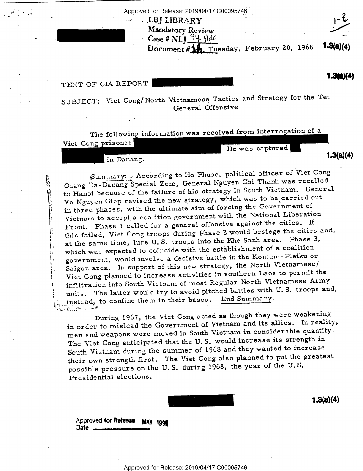Approved for Release: 2019/04/17 C00095746

" ' ' ' '

. LBJ LIBRARY Mandatory Review Mandatory Review<br>Case # NLJ  $\frac{94-460}{1}$  . February 20, 1968 1.3/8/4 Document #14, Tuesday, February 20, 1968 1440(4)

 $1.3(a)(4)$ 

 $1.3(a)(4)$ 

TEXT OF CIA REPORT **WE AREMANDED THE REPORT OF SIDE OF SIDE OF SIDE OF SIDE OF SIDE OF SIDE OF SIDE OF SIDE OF SIDE OF SIDE OF SIDE OF SIDE OF SIDE OF SIDE OF SIDE OF SIDE OF SIDE OF SIDE OF SIDE OF SIDE OF SIDE OF SIDE OF** 

¢ #2 la \

i .

-

i

ç.

. "" SUBJECT: Viet Cong/North Vietnamese Tactics and Strategy for the Tet General Offensive

Viet Cong prisoner The following information was received from interrogation of a He was captured

in Danang.

Quang Da-Danang Special Zone, General Nguyen Chi Thanh was recalled to Hanoi because of the failure of his strategy in South Vietnam. General Vo Nguyen Giap revised the new strategy, which was to be carried out in three phases, with the ultimate aim of forcing the Government of Vietnam to accept, a coalition government with the National Liberation Front. Phase 1 called for a general offensive against the cities. If this failed, Viet Cong' troops during Phase 2 would besiege the cities and, at the same time, lure U. S. troops into the Khe Sanh area. Phase 3, which was expected to coincide with the establishment of a coalition government, would involve a decisive battle in the Kontum-Pleiku or Saigon area. In support of this new strategy, the North Vietnamesel Viet Cong planned to increase activities in southern Laos to permit the infiltration into South Vietnam of most Regular North Vietnamese Army units. The latter would try to avoid pitched battles with U.S. troops and,<br>instead, to confine them in their bases. End Summary. instead, to confine them in their bases.  $\mathcal{L}_{\text{max}}$  $i$ Summary:  $\sim$  According to Ho Phuoc, political officer of Viet Cong

in order to mislead the Government of Vietnam and its allies. In reality, men and weapons were moved in South Vietnam in considerable quantity.<br>In South in the mond increase its strength in The Viet Cong anticipated that the U.S. would increase its strength in South Vietnam during the summer of 1968 and they wanted to increase their own strength first. The Viet Cong also planned to put the greatest possible pressure on the U. S. during 1968, the year of the U. S. <sup>~</sup> Presidential elections. During 1967, the Viet Cong acted as though they were weakening



Approved for Release MAY 1998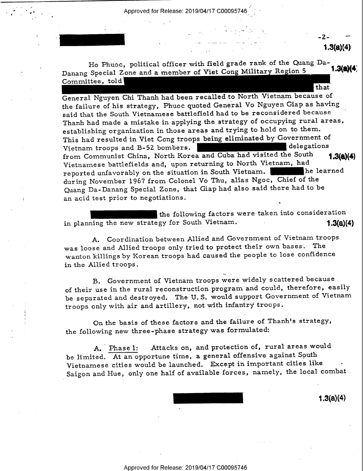Approved for Release: 2019/04/17 C00095746

 $1.3$ (a)( $4$ 

Ho Phuoc, political officer with field grade rank of the Quang Da-<br> $\frac{1.3604}{1.3604}$ Danang Special Zone and a member of Viet Cong Military Region 5 Committee, told that

. .. <sup>e</sup>

General Nguyen Chi Thanh had been recalled to North Vietnam because of the failure of his strategy, Phuoc quoted General Vo Nguyen Giap as having said that the South Vietnamese battlefield had to be reconsidered because Thanh had made a mistake in applying the strategy of occupying rural areas, establishing organization in those areas and trying to hold on to them. This had resulted in Viet Cong troops being eliminated by Government of Vietnam troops and B-52 bombers. Vietnam troops and B-52 bombers. from Communist China, North Korea and Cuba had visited the South 1.3(a)(4) Vietnamese battlefields and, upon returning to North Vietnam, had<br>repeated unfavorably on the situation in South Vietnam. reported unfavorably on the situation in South Vietnam. during November 1967 from Colonel Vo Thu, alias Ngoc, Chief of the Quang Da-Danang Special Zone, that Giap had also said there had to be ' an acid test prior to negotiations.

the following factors were taken into consideration in planning the new strategy for South Vietnam.  $1.3(a)(4)$ 

A. Coordination between Allied and Government of Vietnam troops was loose and Allied troops only tried to protect their own bases. The wanton killings by Korean troops had caused the people to lose confidence in the Allied troops .

B. Government of Vietnam troops were widely scattered because of their use in the rural reconstruction program and could, therefore, easily be separated and destroyed. The U. S. would support Government of Vietnam troops only with air and artillery, not with infantry troops.

On the basis of these factors and the failure of Thanh's strategy, the following new three-phase strategy was formulated:

A. Phase l: Attacks on, and protection of, rural areas would be limited. At an opportune time, a general offensive against South Vietnamese cities would be launched. Except in important cities like <sup>~</sup> Saigon and Hue, only one half of available forces, namely, the local combat

 $1.3(a)(4)$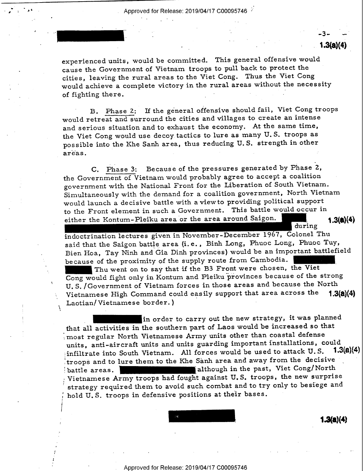i - Antonio - Antonio - Antonio - Antonio - Antonio - Antonio - Antonio - Antonio - Antonio - Antonio - Antoni

 $\boldsymbol{r}$ 

I

 $-3 1.3(a)(4)$ 

r se a constante de la constante de la constante de la constante de la constante de la constante de la constant

experienced units, would be committed. This general offensive would cause the Government of Vietnam troops to pull back to protect the cities, leaving the rural areas to the Viet Cong. Thus the Viet Cong would achieve a complete victory in the rural areas without the necessity of fighting there. - » Y

B. Phase 2: If the general offensive should fail, Viet Cong troops would retreat and surround the cities and villages to create an intense and serious situation and to exhaust the economy. At the same time, the Viet Cong would use decoy. tactics to lure as many U. S. troops as possible into the Khe Sanh area, thus reducing U. S. strength in other  $\alpha$  are  $\alpha$  . The set of  $\alpha$  is the set of  $\alpha$  is the set of  $\alpha$  is the set of  $\alpha$  is the set of  $\alpha$ 

C. Phase 3: Because of the pressures generated by Phase 2, the Government of Vietnam would probably agree to accept a coalition government with the National Front for the Liberation of South Vietnam. Simultaneously with the demand for a coalition government, North Vietnam would launch a decisive battle with aview to providing political support to the Front element in such a Government. This battle would occur in<br>either the Kontum-Pleiku area or the area around Saigon.

to the Front element in such a Government. This battle would occur in<br>
either the Kontum-Pleiku area or the area around Saigon. 1.3(a)(4)<br>
indoctrination lectures given in November-December 1967, Colonel Thu<br>
said that the indoctrination lectures given in November-December 1967, Colonel Thu

Bien Hoa, Tay Ninh and Gia Dinh provinces) would be an important battlefield<br>because of the proximity of the supply route from Cambodia.<br>Thu went on to say that if the B3 Front were chosen, the Viet<br>Cong would fight only i Thu went on to say that if the B3 Front were chosen, the Viet Cong would fight only in Kontum and Pleiku provinces because of the strong U. S. /Government of Vietnam forces in those areas and because the North Vietnamese High Command could easily support that area across the Laotian/Vietnamese border.)

Laotian/Vietnamese border.)<br>in order to carry out the new strategy, it was planned<br>that all activities in the southern part of Laos would be increased so that<br>meast accular North Vietnamese Army units other than coastal de ;most regular North Vietnamese Army units other than coastal defense units, anti-aircraft units and units guarding important installations, could  $\frac{1.3(a)}{4}$ infiltrate into South Vietnam. All forces would be used to attack  $U.S.$ troops and to lure them to the Khe Sanh area and away from the decisive \_' battle areas. **The contract of the set of the past** although in the past, Viet Cong/North Vietnamese Army troops had fought against U.S. troops, the new surprise 1 strategy required them to avoid such combat and to try only to besiege and hold U.S. troops in defensive positions at their bases.

 $1.3(a)(4)$